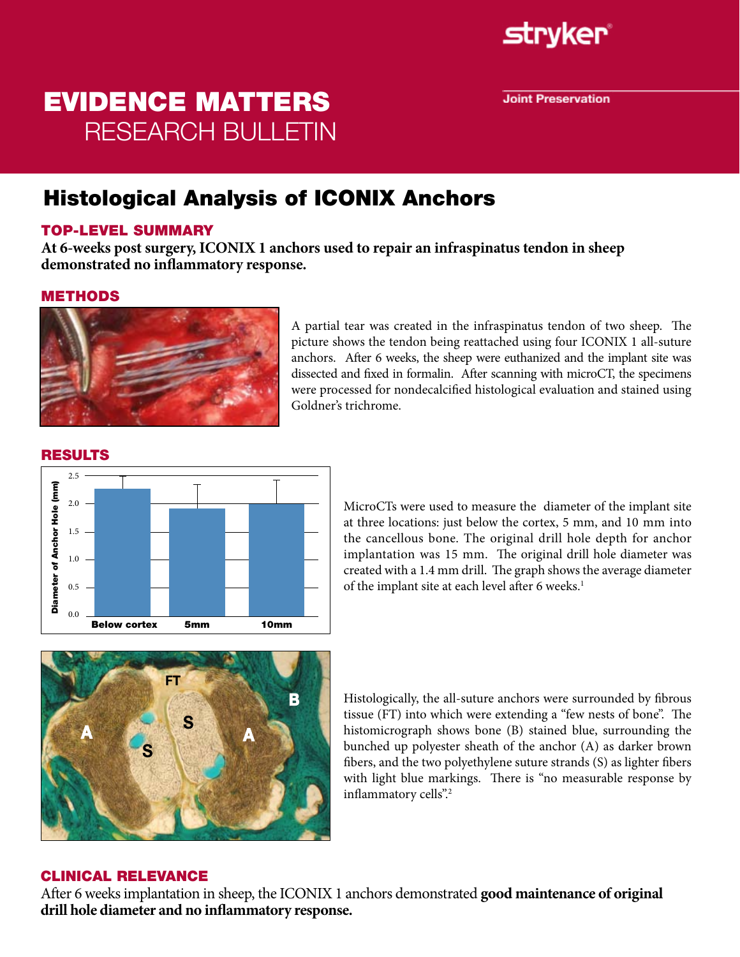

**Joint Preservation** 

# EVIDENCE MATTERS RESEARCH BULLETIN

## Histological Analysis of ICONIX Anchors

### TOP-LEVEL SUMMARY

**At 6-weeks post surgery, ICONIX 1 anchors used to repair an infraspinatus tendon in sheep demonstrated no inflammatory response.**

#### METHODS



A partial tear was created in the infraspinatus tendon of two sheep. The picture shows the tendon being reattached using four ICONIX 1 all-suture anchors. After 6 weeks, the sheep were euthanized and the implant site was dissected and fixed in formalin. After scanning with microCT, the specimens were processed for nondecalcified histological evaluation and stained using Goldner's trichrome.



#### RESULTS

MicroCTs were used to measure the diameter of the implant site at three locations: just below the cortex, 5 mm, and 10 mm into the cancellous bone. The original drill hole depth for anchor implantation was 15 mm. The original drill hole diameter was created with a 1.4 mm drill. The graph shows the average diameter of the implant site at each level after 6 weeks.<sup>1</sup>



Histologically, the all-suture anchors were surrounded by fibrous tissue (FT) into which were extending a "few nests of bone". The histomicrograph shows bone (B) stained blue, surrounding the bunched up polyester sheath of the anchor (A) as darker brown fibers, and the two polyethylene suture strands (S) as lighter fibers with light blue markings. There is "no measurable response by inflammatory cells".<sup>2</sup>

#### CLINICAL RELEVANCE

After 6 weeks implantation in sheep, the ICONIX 1 anchors demonstrated **good maintenance of original drill hole diameter and no inflammatory response.**